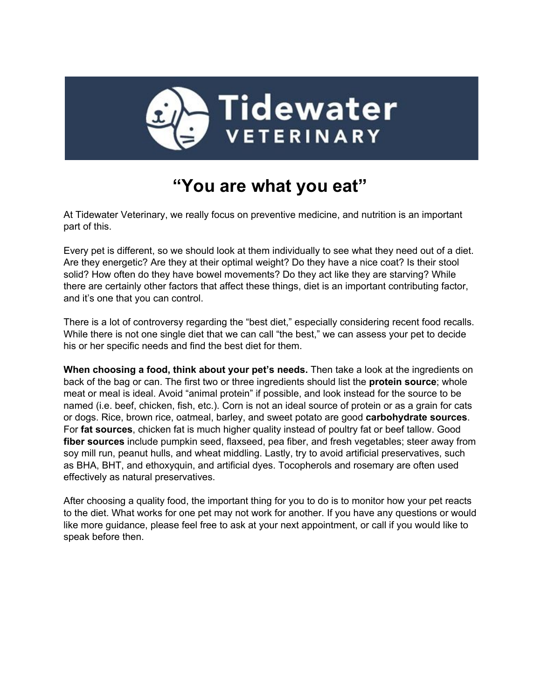

## **"You are what you eat"**

At Tidewater Veterinary, we really focus on preventive medicine, and nutrition is an important part of this.

Every pet is different, so we should look at them individually to see what they need out of a diet. Are they energetic? Are they at their optimal weight? Do they have a nice coat? Is their stool solid? How often do they have bowel movements? Do they act like they are starving? While there are certainly other factors that affect these things, diet is an important contributing factor, and it's one that you can control.

There is a lot of controversy regarding the "best diet," especially considering recent food recalls. While there is not one single diet that we can call "the best," we can assess your pet to decide his or her specific needs and find the best diet for them.

**When choosing a food, think about your pet's needs.** Then take a look at the ingredients on back of the bag or can. The first two or three ingredients should list the **protein source**; whole meat or meal is ideal. Avoid "animal protein" if possible, and look instead for the source to be named (i.e. beef, chicken, fish, etc.). Corn is not an ideal source of protein or as a grain for cats or dogs. Rice, brown rice, oatmeal, barley, and sweet potato are good **carbohydrate sources**. For **fat sources**, chicken fat is much higher quality instead of poultry fat or beef tallow. Good **fiber sources** include pumpkin seed, flaxseed, pea fiber, and fresh vegetables; steer away from soy mill run, peanut hulls, and wheat middling. Lastly, try to avoid artificial preservatives, such as BHA, BHT, and ethoxyquin, and artificial dyes. Tocopherols and rosemary are often used effectively as natural preservatives.

After choosing a quality food, the important thing for you to do is to monitor how your pet reacts to the diet. What works for one pet may not work for another. If you have any questions or would like more guidance, please feel free to ask at your next appointment, or call if you would like to speak before then.